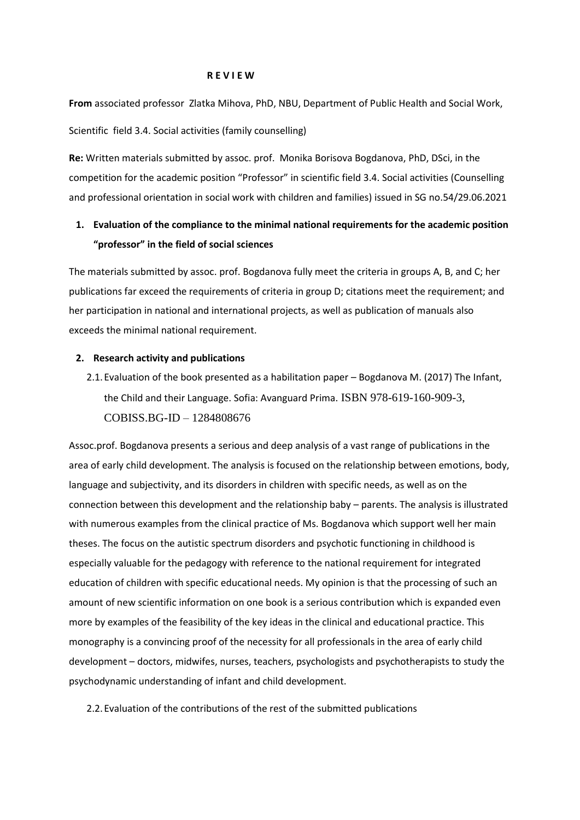#### **R E V I E W**

**From** associated professor Zlatka Mihova, PhD, NBU, Department of Public Health and Social Work, Scientific field 3.4. Social activities (family counselling)

**Re:** Written materials submitted by assoc. prof. Monika Borisova Bogdanova, PhD, DSci, in the competition for the academic position "Professor" in scientific field 3.4. Social activities (Counselling and professional orientation in social work with children and families) issued in SG no.54/29.06.2021

# **1. Evaluation of the compliance to the minimal national requirements for the academic position "professor" in the field of social sciences**

The materials submitted by assoc. prof. Bogdanova fully meet the criteria in groups A, B, and C; her publications far exceed the requirements of criteria in group D; citations meet the requirement; and her participation in national and international projects, as well as publication of manuals also exceeds the minimal national requirement.

## **2. Research activity and publications**

2.1.Evaluation of the book presented as a habilitation paper – Bogdanova M. (2017) The Infant, the Child and their Language. Sofia: Avanguard Prima. ISBN 978-619-160-909-3, COBISS.BG-ID – 1284808676

Assoc.prof. Bogdanova presents a serious and deep analysis of a vast range of publications in the area of early child development. The analysis is focused on the relationship between emotions, body, language and subjectivity, and its disorders in children with specific needs, as well as on the connection between this development and the relationship baby – parents. The analysis is illustrated with numerous examples from the clinical practice of Ms. Bogdanova which support well her main theses. The focus on the autistic spectrum disorders and psychotic functioning in childhood is especially valuable for the pedagogy with reference to the national requirement for integrated education of children with specific educational needs. My opinion is that the processing of such an amount of new scientific information on one book is a serious contribution which is expanded even more by examples of the feasibility of the key ideas in the clinical and educational practice. This monography is a convincing proof of the necessity for all professionals in the area of early child development – doctors, midwifes, nurses, teachers, psychologists and psychotherapists to study the psychodynamic understanding of infant and child development.

2.2.Evaluation of the contributions of the rest of the submitted publications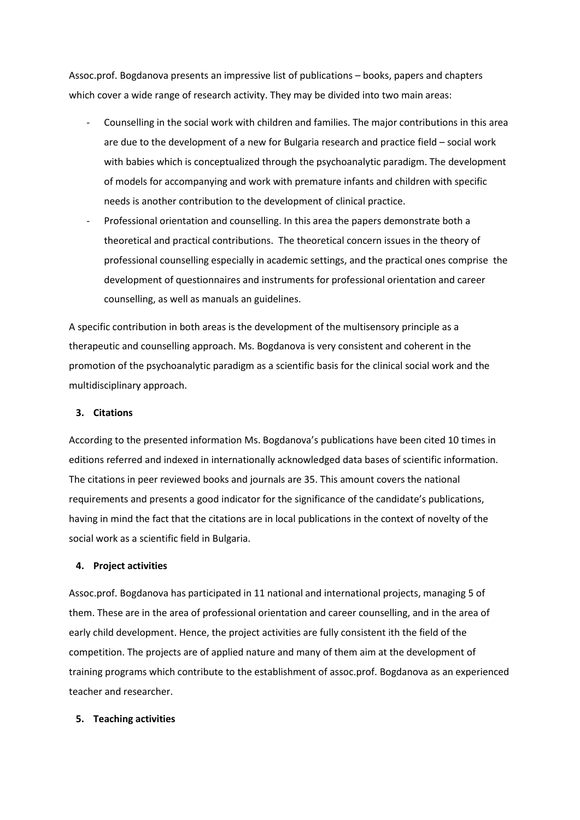Assoc.prof. Bogdanova presents an impressive list of publications – books, papers and chapters which cover a wide range of research activity. They may be divided into two main areas:

- Counselling in the social work with children and families. The major contributions in this area are due to the development of a new for Bulgaria research and practice field – social work with babies which is conceptualized through the psychoanalytic paradigm. The development of models for accompanying and work with premature infants and children with specific needs is another contribution to the development of clinical practice.
- Professional orientation and counselling. In this area the papers demonstrate both a theoretical and practical contributions. The theoretical concern issues in the theory of professional counselling especially in academic settings, and the practical ones comprise the development of questionnaires and instruments for professional orientation and career counselling, as well as manuals an guidelines.

A specific contribution in both areas is the development of the multisensory principle as a therapeutic and counselling approach. Ms. Bogdanova is very consistent and coherent in the promotion of the psychoanalytic paradigm as a scientific basis for the clinical social work and the multidisciplinary approach.

## **3. Citations**

According to the presented information Ms. Bogdanova's publications have been cited 10 times in editions referred and indexed in internationally acknowledged data bases of scientific information. The citations in peer reviewed books and journals are 35. This amount covers the national requirements and presents a good indicator for the significance of the candidate's publications, having in mind the fact that the citations are in local publications in the context of novelty of the social work as a scientific field in Bulgaria.

## **4. Project activities**

Assoc.prof. Bogdanova has participated in 11 national and international projects, managing 5 of them. These are in the area of professional orientation and career counselling, and in the area of early child development. Hence, the project activities are fully consistent ith the field of the competition. The projects are of applied nature and many of them aim at the development of training programs which contribute to the establishment of assoc.prof. Bogdanova as an experienced teacher and researcher.

## **5. Teaching activities**